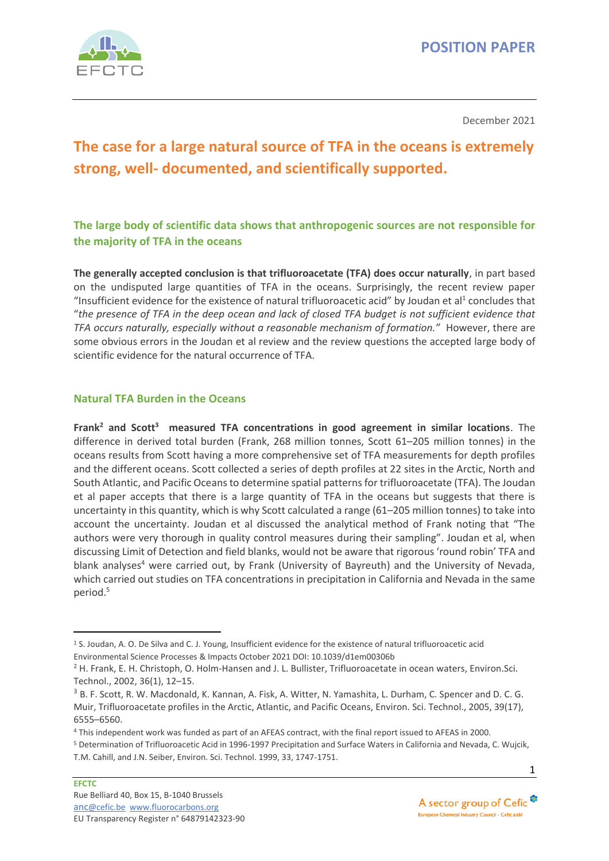

December 2021

# **The case for a large natural source of TFA in the oceans is extremely strong, well- documented, and scientifically supported.**

**The large body of scientific data shows that anthropogenic sources are not responsible for the majority of TFA in the oceans**

**The generally accepted conclusion is that trifluoroacetate (TFA) does occur naturally**, in part based on the undisputed large quantities of TFA in the oceans. Surprisingly, the recent review paper "Insufficient evidence for the existence of natural trifluoroacetic acid" by Joudan et al<sup>1</sup> concludes that "*the presence of TFA in the deep ocean and lack of closed TFA budget is not sufficient evidence that TFA occurs naturally, especially without a reasonable mechanism of formation."* However, there are some obvious errors in the Joudan et al review and the review questions the accepted large body of scientific evidence for the natural occurrence of TFA.

#### **Natural TFA Burden in the Oceans**

**Frank<sup>2</sup> and Scott<sup>3</sup> measured TFA concentrations in good agreement in similar locations**. The difference in derived total burden (Frank, 268 million tonnes, Scott 61–205 million tonnes) in the oceans results from Scott having a more comprehensive set of TFA measurements for depth profiles and the different oceans. Scott collected a series of depth profiles at 22 sites in the Arctic, North and South Atlantic, and Pacific Oceans to determine spatial patterns for trifluoroacetate (TFA). The Joudan et al paper accepts that there is a large quantity of TFA in the oceans but suggests that there is uncertainty in this quantity, which is why Scott calculated a range (61–205 million tonnes) to take into account the uncertainty. Joudan et al discussed the analytical method of Frank noting that "The authors were very thorough in quality control measures during their sampling". Joudan et al, when discussing Limit of Detection and field blanks, would not be aware that rigorous 'round robin' TFA and blank analyses<sup>4</sup> were carried out, by Frank (University of Bayreuth) and the University of Nevada, which carried out studies on TFA concentrations in precipitation in California and Nevada in the same period.<sup>5</sup>

<sup>1</sup> S. Joudan, A. O. De Silva and C. J. Young, Insufficient evidence for the existence of natural trifluoroacetic acid Environmental Science Processes & Impacts October 2021 DOI: 10.1039/d1em00306b

 $2$  H. Frank, E. H. Christoph, O. Holm-Hansen and J. L. Bullister, Trifluoroacetate in ocean waters, Environ.Sci. Technol., 2002, 36(1), 12–15.

<sup>3</sup> B. F. Scott, R. W. Macdonald, K. Kannan, A. Fisk, A. Witter, N. Yamashita, L. Durham, C. Spencer and D. C. G. Muir, Trifluoroacetate profiles in the Arctic, Atlantic, and Pacific Oceans, Environ. Sci. Technol., 2005, 39(17), 6555–6560.

<sup>4</sup> This independent work was funded as part of an AFEAS contract, with the final report issued to AFEAS in 2000.

<sup>5</sup> Determination of Trifluoroacetic Acid in 1996-1997 Precipitation and Surface Waters in California and Nevada, C. Wujcik, T.M. Cahill, and J.N. Seiber, Environ. Sci. Technol. 1999, 33, 1747-1751.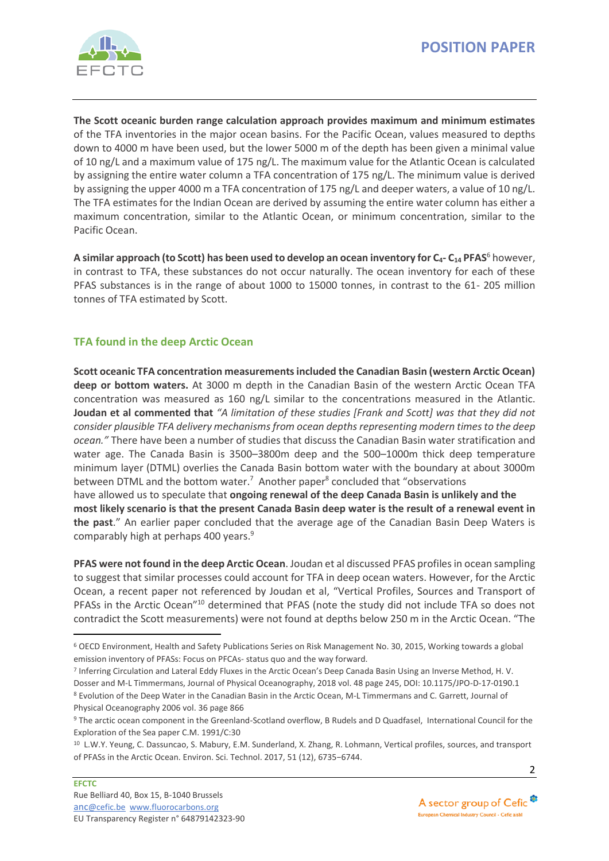

**The Scott oceanic burden range calculation approach provides maximum and minimum estimates** of the TFA inventories in the major ocean basins. For the Pacific Ocean, values measured to depths down to 4000 m have been used, but the lower 5000 m of the depth has been given a minimal value of 10 ng/L and a maximum value of 175 ng/L. The maximum value for the Atlantic Ocean is calculated by assigning the entire water column a TFA concentration of 175 ng/L. The minimum value is derived by assigning the upper 4000 m a TFA concentration of 175 ng/L and deeper waters, a value of 10 ng/L. The TFA estimates for the Indian Ocean are derived by assuming the entire water column has either a maximum concentration, similar to the Atlantic Ocean, or minimum concentration, similar to the Pacific Ocean.

**A similar approach (to Scott) has been used to develop an ocean inventory for C4- C<sup>14</sup> PFAS**<sup>6</sup> however, in contrast to TFA, these substances do not occur naturally. The ocean inventory for each of these PFAS substances is in the range of about 1000 to 15000 tonnes, in contrast to the 61- 205 million tonnes of TFA estimated by Scott.

# **TFA found in the deep Arctic Ocean**

**Scott oceanic TFA concentration measurements included the Canadian Basin (western Arctic Ocean) deep or bottom waters.** At 3000 m depth in the Canadian Basin of the western Arctic Ocean TFA concentration was measured as 160 ng/L similar to the concentrations measured in the Atlantic. **Joudan et al commented that** *"A limitation of these studies [Frank and Scott] was that they did not consider plausible TFA delivery mechanisms from ocean depths representing modern times to the deep ocean."* There have been a number of studies that discuss the Canadian Basin water stratification and water age. The Canada Basin is 3500–3800m deep and the 500–1000m thick deep temperature minimum layer (DTML) overlies the Canada Basin bottom water with the boundary at about 3000m between DTML and the bottom water.<sup>7</sup> Another paper<sup>8</sup> concluded that "observations have allowed us to speculate that **ongoing renewal of the deep Canada Basin is unlikely and the most likely scenario is that the present Canada Basin deep water is the result of a renewal event in the past**." An earlier paper concluded that the average age of the Canadian Basin Deep Waters is comparably high at perhaps 400 years.<sup>9</sup>

**PFAS were not found in the deep Arctic Ocean**. Joudan et al discussed PFAS profiles in ocean sampling to suggest that similar processes could account for TFA in deep ocean waters. However, for the Arctic Ocean, a recent paper not referenced by Joudan et al, "Vertical Profiles, Sources and Transport of PFASs in the Arctic Ocean"<sup>10</sup> determined that PFAS (note the study did not include TFA so does not contradict the Scott measurements) were not found at depths below 250 m in the Arctic Ocean. "The



<sup>6</sup> OECD Environment, Health and Safety Publications Series on Risk Management No. 30, 2015, Working towards a global emission inventory of PFASs: Focus on PFCAs- status quo and the way forward.

<sup>&</sup>lt;sup>7</sup> Inferring Circulation and Lateral Eddy Fluxes in the Arctic Ocean's Deep Canada Basin Using an Inverse Method, H. V. Dosser and M-L Timmermans, Journal of Physical Oceanography, 2018 vol. 48 page 245, DOI: 10.1175/JPO-D-17-0190.1 <sup>8</sup> Evolution of the Deep Water in the Canadian Basin in the Arctic Ocean, M-L Timmermans and C. Garrett, Journal of Physical Oceanography 2006 vol. 36 page 866

<sup>9</sup> The arctic ocean component in the Greenland-Scotland overflow, B Rudels and D Quadfasel, International Council for the Exploration of the Sea paper C.M. 1991/C:30

<sup>&</sup>lt;sup>10</sup> L.W.Y. Yeung, C. Dassuncao, S. Mabury, E.M. Sunderland, X. Zhang, R. Lohmann, Vertical profiles, sources, and transport of PFASs in the Arctic Ocean. Environ. Sci. Technol. 2017, 51 (12), 6735−6744.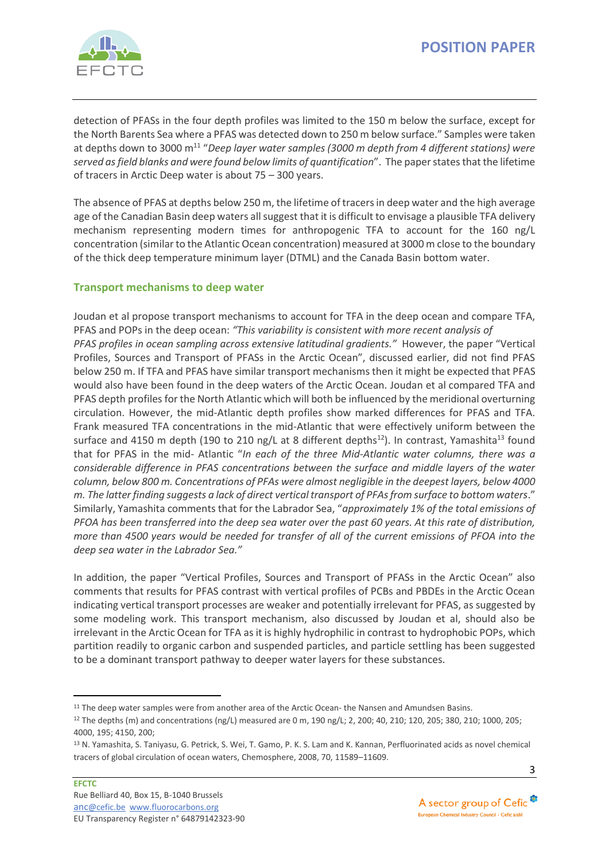

detection of PFASs in the four depth profiles was limited to the 150 m below the surface, except for the North Barents Sea where a PFAS was detected down to 250 m below surface." Samples were taken at depths down to 3000 m<sup>11</sup> "Deep layer water samples (3000 m depth from 4 different stations) were *served as field blanks and were found below limits of quantification*". The paper states that the lifetime of tracers in Arctic Deep water is about 75 – 300 years.

The absence of PFAS at depths below 250 m, the lifetime of tracers in deep water and the high average age of the Canadian Basin deep waters all suggest that it is difficult to envisage a plausible TFA delivery mechanism representing modern times for anthropogenic TFA to account for the 160 ng/L concentration (similar to the Atlantic Ocean concentration) measured at 3000 m close to the boundary of the thick deep temperature minimum layer (DTML) and the Canada Basin bottom water.

# **Transport mechanisms to deep water**

Joudan et al propose transport mechanisms to account for TFA in the deep ocean and compare TFA, PFAS and POPs in the deep ocean: *"This variability is consistent with more recent analysis of PFAS profiles in ocean sampling across extensive latitudinal gradients."* However, the paper "Vertical Profiles, Sources and Transport of PFASs in the Arctic Ocean", discussed earlier, did not find PFAS below 250 m. If TFA and PFAS have similar transport mechanisms then it might be expected that PFAS would also have been found in the deep waters of the Arctic Ocean. Joudan et al compared TFA and PFAS depth profiles for the North Atlantic which will both be influenced by the meridional overturning circulation. However, the mid-Atlantic depth profiles show marked differences for PFAS and TFA. Frank measured TFA concentrations in the mid-Atlantic that were effectively uniform between the surface and 4150 m depth (190 to 210 ng/L at 8 different depths<sup>12</sup>). In contrast, Yamashita<sup>13</sup> found that for PFAS in the mid- Atlantic "*In each of the three Mid-Atlantic water columns, there was a considerable difference in PFAS concentrations between the surface and middle layers of the water column, below 800 m. Concentrations of PFAs were almost negligible in the deepest layers, below 4000 m. The latter finding suggests a lack of direct vertical transport of PFAs from surface to bottom waters*." Similarly, Yamashita comments that for the Labrador Sea, "*approximately 1% of the total emissions of PFOA has been transferred into the deep sea water over the past 60 years. At this rate of distribution, more than 4500 years would be needed for transfer of all of the current emissions of PFOA into the deep sea water in the Labrador Sea."* 

In addition, the paper "Vertical Profiles, Sources and Transport of PFASs in the Arctic Ocean" also comments that results for PFAS contrast with vertical profiles of PCBs and PBDEs in the Arctic Ocean indicating vertical transport processes are weaker and potentially irrelevant for PFAS, as suggested by some modeling work. This transport mechanism, also discussed by Joudan et al, should also be irrelevant in the Arctic Ocean for TFA as it is highly hydrophilic in contrast to hydrophobic POPs, which partition readily to organic carbon and suspended particles, and particle settling has been suggested to be a dominant transport pathway to deeper water layers for these substances.



<sup>&</sup>lt;sup>11</sup> The deep water samples were from another area of the Arctic Ocean- the Nansen and Amundsen Basins.

<sup>&</sup>lt;sup>12</sup> The depths (m) and concentrations (ng/L) measured are 0 m, 190 ng/L; 2, 200; 40, 210; 120, 205; 380, 210; 1000, 205; 4000, 195; 4150, 200;

<sup>13</sup> N. Yamashita, S. Taniyasu, G. Petrick, S. Wei, T. Gamo, P. K. S. Lam and K. Kannan, Perfluorinated acids as novel chemical tracers of global circulation of ocean waters, Chemosphere, 2008, 70, 11589–11609.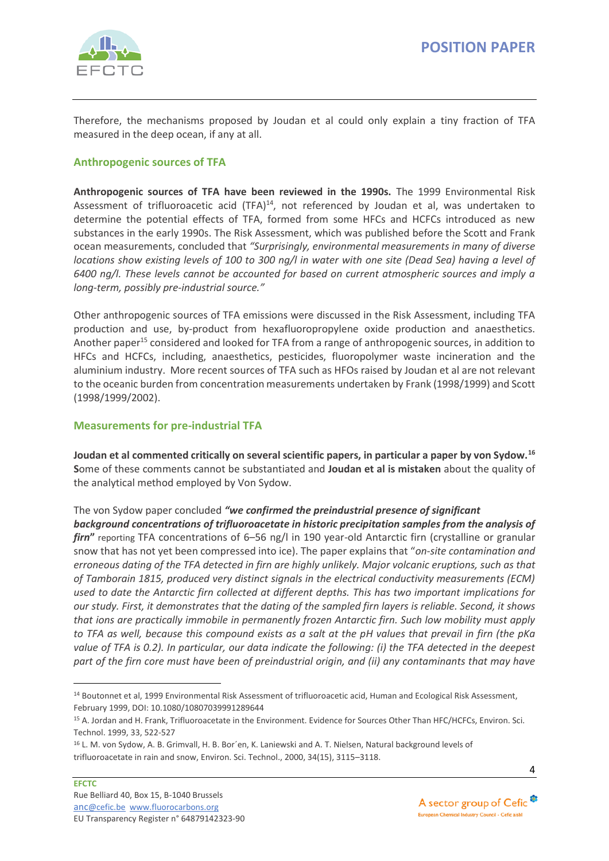Therefore, the mechanisms proposed by Joudan et al could only explain a tiny fraction of TFA measured in the deep ocean, if any at all.

# **Anthropogenic sources of TFA**

**Anthropogenic sources of TFA have been reviewed in the 1990s.** The 1999 Environmental Risk Assessment of trifluoroacetic acid (TFA) $^{14}$ , not referenced by Joudan et al, was undertaken to determine the potential effects of TFA, formed from some HFCs and HCFCs introduced as new substances in the early 1990s. The Risk Assessment, which was published before the Scott and Frank ocean measurements, concluded that *"Surprisingly, environmental measurements in many of diverse locations show existing levels of 100 to 300 ng/l in water with one site (Dead Sea) having a level of 6400 ng/l. These levels cannot be accounted for based on current atmospheric sources and imply a long-term, possibly pre-industrial source."*

Other anthropogenic sources of TFA emissions were discussed in the Risk Assessment, including TFA production and use, by-product from hexafluoropropylene oxide production and anaesthetics. Another paper<sup>15</sup> considered and looked for TFA from a range of anthropogenic sources, in addition to HFCs and HCFCs, including, anaesthetics, pesticides, fluoropolymer waste incineration and the aluminium industry. More recent sources of TFA such as HFOs raised by Joudan et al are not relevant to the oceanic burden from concentration measurements undertaken by Frank (1998/1999) and Scott (1998/1999/2002).

## **Measurements for pre-industrial TFA**

**Joudan et al commented critically on several scientific papers, in particular a paper by von Sydow.<sup>16</sup> S**ome of these comments cannot be substantiated and **Joudan et al is mistaken** about the quality of the analytical method employed by Von Sydow.

The von Sydow paper concluded *"we confirmed the preindustrial presence of significant background concentrations of trifluoroacetate in historic precipitation samples from the analysis of firn***"** reporting TFA concentrations of 6–56 ng/l in 190 year-old Antarctic firn (crystalline or granular snow that has not yet been compressed into ice). The paper explains that "*on-site contamination and erroneous dating of the TFA detected in firn are highly unlikely. Major volcanic eruptions, such as that of Tamborain 1815, produced very distinct signals in the electrical conductivity measurements (ECM) used to date the Antarctic firn collected at different depths. This has two important implications for our study. First, it demonstrates that the dating of the sampled firn layers is reliable. Second, it shows that ions are practically immobile in permanently frozen Antarctic firn. Such low mobility must apply to TFA as well, because this compound exists as a salt at the pH values that prevail in firn (the pKa value of TFA is 0.2). In particular, our data indicate the following: (i) the TFA detected in the deepest* 

*part of the firn core must have been of preindustrial origin, and (ii) any contaminants that may have* 



<sup>&</sup>lt;sup>14</sup> Boutonnet et al, 1999 Environmental Risk Assessment of trifluoroacetic acid, Human and Ecological Risk Assessment, February 1999, DOI: 10.1080/10807039991289644

<sup>15</sup> A. Jordan and H. Frank, Trifluoroacetate in the Environment. Evidence for Sources Other Than HFC/HCFCs, Environ. Sci. Technol. 1999, 33, 522-527

<sup>16</sup> L. M. von Sydow, A. B. Grimvall, H. B. Bor´en, K. Laniewski and A. T. Nielsen, Natural background levels of trifluoroacetate in rain and snow, Environ. Sci. Technol., 2000, 34(15), 3115–3118.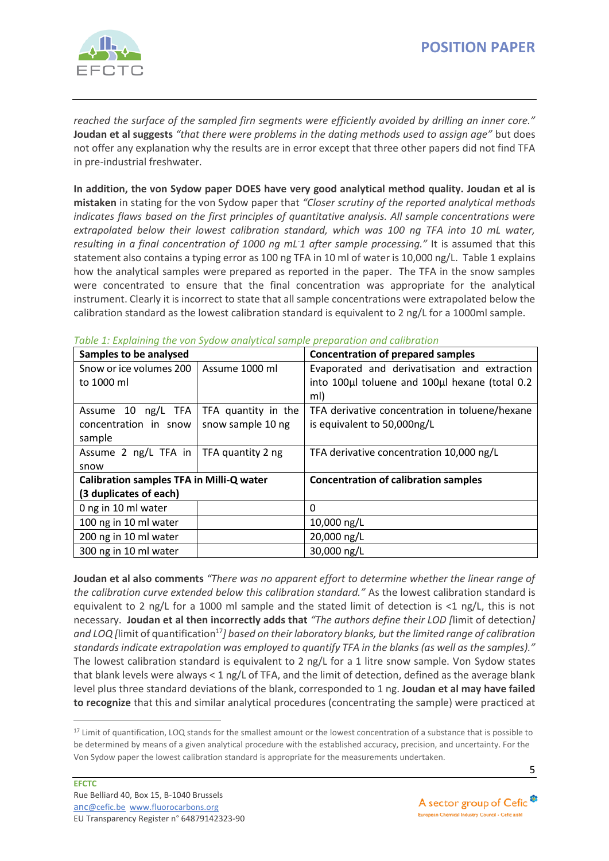

*reached the surface of the sampled firn segments were efficiently avoided by drilling an inner core."*  **Joudan et al suggests** *"that there were problems in the dating methods used to assign age"* but does not offer any explanation why the results are in error except that three other papers did not find TFA in pre-industrial freshwater.

**In addition, the von Sydow paper DOES have very good analytical method quality. Joudan et al is mistaken** in stating for the von Sydow paper that *"Closer scrutiny of the reported analytical methods indicates flaws based on the first principles of quantitative analysis. All sample concentrations were extrapolated below their lowest calibration standard, which was 100 ng TFA into 10 mL water,*  resulting in a final concentration of 1000 ng mL<sup>-1</sup> after sample processing." It is assumed that this statement also contains a typing error as 100 ng TFA in 10 ml of water is 10,000 ng/L. Table 1 explains how the analytical samples were prepared as reported in the paper. The TFA in the snow samples were concentrated to ensure that the final concentration was appropriate for the analytical instrument. Clearly it is incorrect to state that all sample concentrations were extrapolated below the calibration standard as the lowest calibration standard is equivalent to 2 ng/L for a 1000ml sample.

| Samples to be analysed                          |                     | <b>Concentration of prepared samples</b>       |
|-------------------------------------------------|---------------------|------------------------------------------------|
| Snow or ice volumes 200                         | Assume 1000 ml      | Evaporated and derivatisation and extraction   |
| to 1000 ml                                      |                     | into 100µl toluene and 100µl hexane (total 0.2 |
|                                                 |                     | ml)                                            |
| Assume 10 ng/L TFA                              | TFA quantity in the | TFA derivative concentration in toluene/hexane |
| concentration in snow                           | snow sample 10 ng   | is equivalent to 50,000ng/L                    |
| sample                                          |                     |                                                |
| Assume 2 $\log/L$ TFA in   TFA quantity 2 ng    |                     | TFA derivative concentration 10,000 ng/L       |
| snow                                            |                     |                                                |
| <b>Calibration samples TFA in Milli-Q water</b> |                     | <b>Concentration of calibration samples</b>    |
| (3 duplicates of each)                          |                     |                                                |
| 0 ng in 10 ml water                             |                     | $\Omega$                                       |
| 100 ng in 10 ml water                           |                     | 10,000 ng/L                                    |
| 200 ng in 10 ml water                           |                     | 20,000 ng/L                                    |
| 300 ng in 10 ml water                           |                     | 30,000 ng/L                                    |

*Table 1: Explaining the von Sydow analytical sample preparation and calibration*

**Joudan et al also comments** *"There was no apparent effort to determine whether the linear range of the calibration curve extended below this calibration standard."* As the lowest calibration standard is equivalent to 2 ng/L for a 1000 ml sample and the stated limit of detection is <1 ng/L, this is not necessary.**Joudan et al then incorrectly adds that** *"The authors define their LOD [*limit of detection*]*  and LOQ /limit of quantification<sup>17</sup>] based on their laboratory blanks, but the limited range of calibration *standards indicate extrapolation was employed to quantify TFA in the blanks (as well as the samples)."* The lowest calibration standard is equivalent to 2 ng/L for a 1 litre snow sample. Von Sydow states that blank levels were always < 1 ng/L of TFA, and the limit of detection, defined as the average blank level plus three standard deviations of the blank, corresponded to 1 ng. **Joudan et al may have failed to recognize** that this and similar analytical procedures (concentrating the sample) were practiced at

<sup>&</sup>lt;sup>17</sup> Limit of quantification, LOQ stands for the smallest amount or the lowest concentration of a substance that is possible to be determined by means of a given analytical procedure with the established accuracy, precision, and uncertainty. For the Von Sydow paper the lowest calibration standard is appropriate for the measurements undertaken.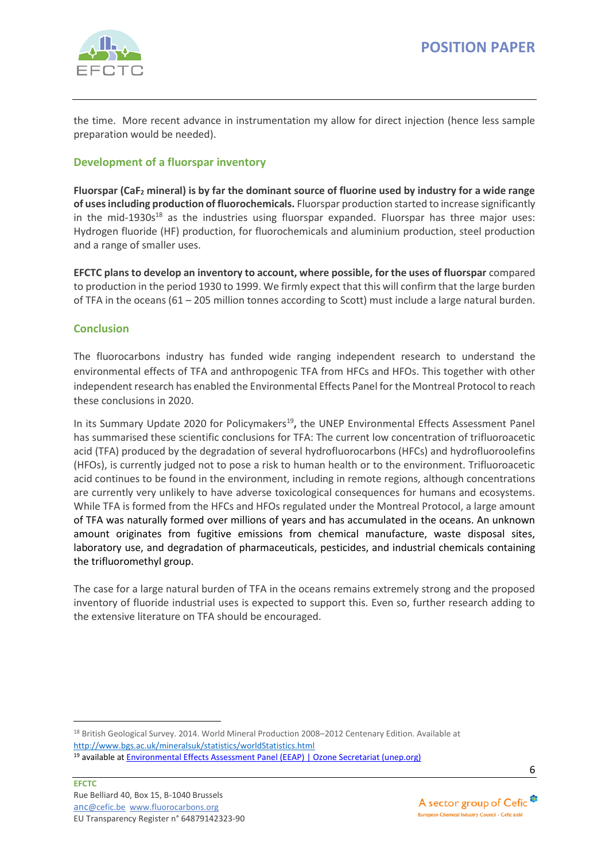

the time. More recent advance in instrumentation my allow for direct injection (hence less sample preparation would be needed).

## **Development of a fluorspar inventory**

**Fluorspar (CaF<sup>2</sup> mineral) is by far the dominant source of fluorine used by industry for a wide range of uses including production of fluorochemicals.** Fluorspar production started to increase significantly in the mid-1930s $^{18}$  as the industries using fluorspar expanded. Fluorspar has three major uses: Hydrogen fluoride (HF) production, for fluorochemicals and aluminium production, steel production and a range of smaller uses.

**EFCTC plans to develop an inventory to account, where possible, for the uses of fluorspar** compared to production in the period 1930 to 1999. We firmly expect that this will confirm that the large burden of TFA in the oceans (61 – 205 million tonnes according to Scott) must include a large natural burden.

#### **Conclusion**

The fluorocarbons industry has funded wide ranging independent research to understand the environmental effects of TFA and anthropogenic TFA from HFCs and HFOs. This together with other independent research has enabled the Environmental Effects Panel for the Montreal Protocol to reach these conclusions in 2020.

In its Summary Update 2020 for Policymakers<sup>19</sup>, the UNEP Environmental Effects Assessment Panel has summarised these scientific conclusions for TFA: The current low concentration of trifluoroacetic acid (TFA) produced by the degradation of several hydrofluorocarbons (HFCs) and hydrofluoroolefins (HFOs), is currently judged not to pose a risk to human health or to the environment. Trifluoroacetic acid continues to be found in the environment, including in remote regions, although concentrations are currently very unlikely to have adverse toxicological consequences for humans and ecosystems. While TFA is formed from the HFCs and HFOs regulated under the Montreal Protocol, a large amount of TFA was naturally formed over millions of years and has accumulated in the oceans. An unknown amount originates from fugitive emissions from chemical manufacture, waste disposal sites, laboratory use, and degradation of pharmaceuticals, pesticides, and industrial chemicals containing the trifluoromethyl group.

The case for a large natural burden of TFA in the oceans remains extremely strong and the proposed inventory of fluoride industrial uses is expected to support this. Even so, further research adding to the extensive literature on TFA should be encouraged.



<sup>18</sup> British Geological Survey. 2014. World Mineral Production 2008–2012 Centenary Edition. Available at <http://www.bgs.ac.uk/mineralsuk/statistics/worldStatistics.html>

<sup>19</sup> available at [Environmental Effects Assessment Panel \(EEAP\) | Ozone Secretariat \(unep.org\)](https://ozone.unep.org/science/assessment/eeap)